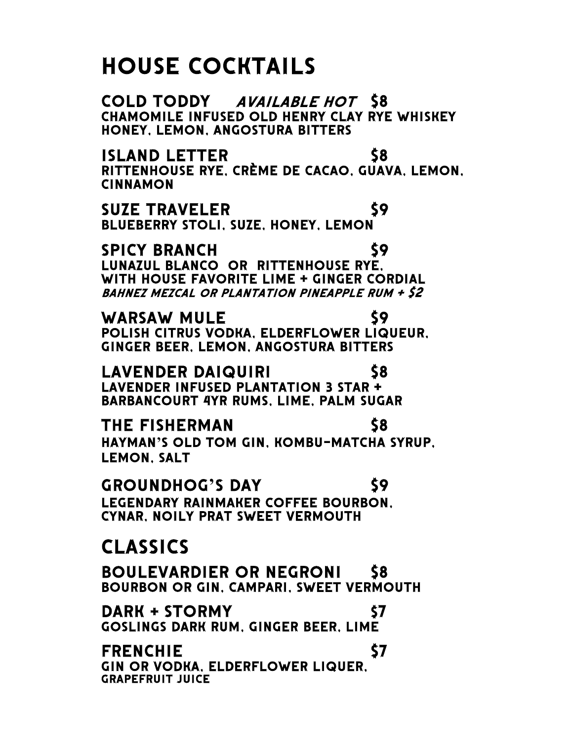## House cocktails

COLD TODDY AVAILABLE HOT \$8<br>CHAMOMILE INFUSED OLD HENRY CLAY RYE WHISKEY<br>HONEY, LEMON, ANGOSTURA BITTERS

island letter \$8 RITTENHOUSE rye, crème de cacao, guava, lemon, cinnamon

SUZE TRAVELER \$9<br>BLUEBERRY STOLI, SUZE, HONEY, LEMON

SPICY BRANCH<br>
LUNAZUL BLANCO OR RITTENHOUSE RYE,<br>
WITH HOUSE FAVORITE LIME + GINGER CORDIAL bahnez mezcal or plantation pineapple rum + \$2

WARSAW MULE<br>\$9 POLISH CITRUS VODKA, ELDERFLOWER LIQUEUR,<br>GINGER BEER, LEMON, ANGOSTURA BITTERS

LAVENDER DAIQUIRI \$8<br>LAVENDER INFUSED PLANTATION 3 STAR +<br>BARBANCOURT 4YR RUMS, LIME, PALM SUGAR

THE FISHERMAN 58 HAYMAN**'**S Old tom gin, kombu-matcha syrup, Lemon, salt

Groundhog**'**s day \$9 Legendary rainmaker coffee bourbon, Cynar, noily prat sweet vermouth

## Classics

Boulevardier or negroni \$8 Bourbon or gin, Campari, sweet vermouth

**DARK + STORMY**<br>GOSLINGS DARK RUM, GINGER BEER, LIME

frenchie \$7 gin OR VODKA, elderflower liquer, grapefruit juice